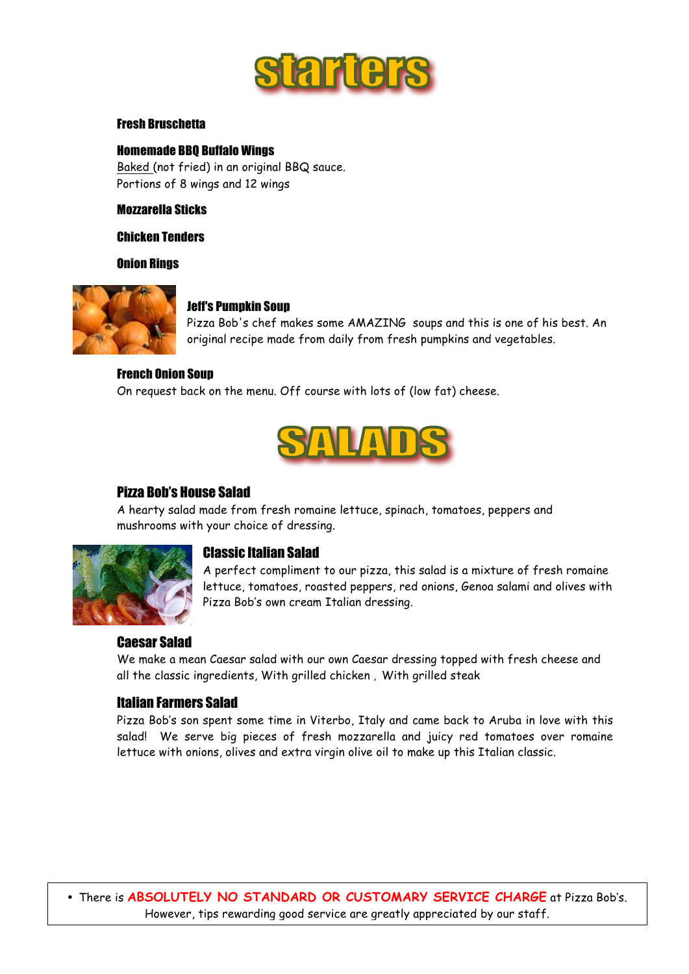

#### Fresh Bruschetta

#### Homemade BBQ Buffalo Wings

Baked (not fried) in an original BBQ sauce. Portions of 8 wings and 12 wings

#### Mozzarella Sticks

Chicken Tenders

Onion Rings



#### Jeff's Pumpkin Soup

Pizza Bob's chef makes some AMAZING soups and this is one of his best. An original recipe made from daily from fresh pumpkins and vegetables.

#### French Onion Soup

On request back on the menu. Off course with lots of (low fat) cheese.



## Pizza Bob's House Salad

A hearty salad made from fresh romaine lettuce, spinach, tomatoes, peppers and mushrooms with your choice of dressing.



## Classic Italian Salad

A perfect compliment to our pizza, this salad is a mixture of fresh romaine lettuce, tomatoes, roasted peppers, red onions, Genoa salami and olives with Pizza Bob's own cream Italian dressing.

#### Caesar Salad

We make a mean Caesar salad with our own Caesar dressing topped with fresh cheese and all the classic ingredients, With grilled chicken , With grilled steak

#### Italian Farmers Salad

Pizza Bob's son spent some time in Viterbo, Italy and came back to Aruba in love with this salad! We serve big pieces of fresh mozzarella and juicy red tomatoes over romaine lettuce with onions, olives and extra virgin olive oil to make up this Italian classic.

• There is **ABSOLUTELY NO STANDARD OR CUSTOMARY SERVICE CHARGE** at Pizza Bob's. However, tips rewarding good service are greatly appreciated by our staff.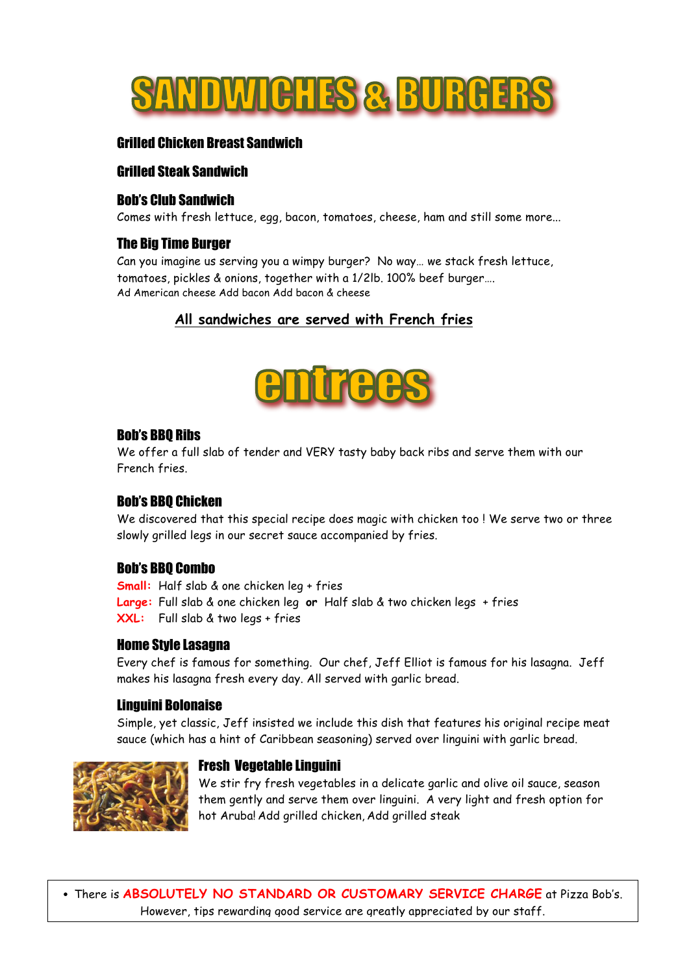

## Grilled Chicken Breast Sandwich

## Grilled Steak Sandwich

#### Bob's Club Sandwich

Comes with fresh lettuce, egg, bacon, tomatoes, cheese, ham and still some more...

#### The Big Time Burger

Can you imagine us serving you a wimpy burger? No way… we stack fresh lettuce, tomatoes, pickles & onions, together with a 1/2lb. 100% beef burger…. Ad American cheese Add bacon Add bacon & cheese

## **All sandwiches are served with French fries**



#### Bob's BBQ Ribs

We offer a full slab of tender and VERY tasty baby back ribs and serve them with our French fries.

## Bob's BBQ Chicken

We discovered that this special recipe does magic with chicken too ! We serve two or three slowly grilled legs in our secret sauce accompanied by fries.

#### Bob's BBQ Combo

**Small:** Half slab & one chicken leg + fries **Large:** Full slab & one chicken leg **or** Half slab & two chicken legs + fries **XXL:** Full slab & two legs + fries

#### Home Style Lasagna

Every chef is famous for something. Our chef, Jeff Elliot is famous for his lasagna. Jeff makes his lasagna fresh every day. All served with garlic bread.

#### Linguini Bolonaise

Simple, yet classic, Jeff insisted we include this dish that features his original recipe meat sauce (which has a hint of Caribbean seasoning) served over linguini with garlic bread.



#### Fresh Vegetable Linguini

We stir fry fresh vegetables in a delicate garlic and olive oil sauce, season them gently and serve them over linguini. A very light and fresh option for hot Aruba! Add grilled chicken, Add grilled steak

• There is **ABSOLUTELY NO STANDARD OR CUSTOMARY SERVICE CHARGE** at Pizza Bob's. However, tips rewarding good service are greatly appreciated by our staff.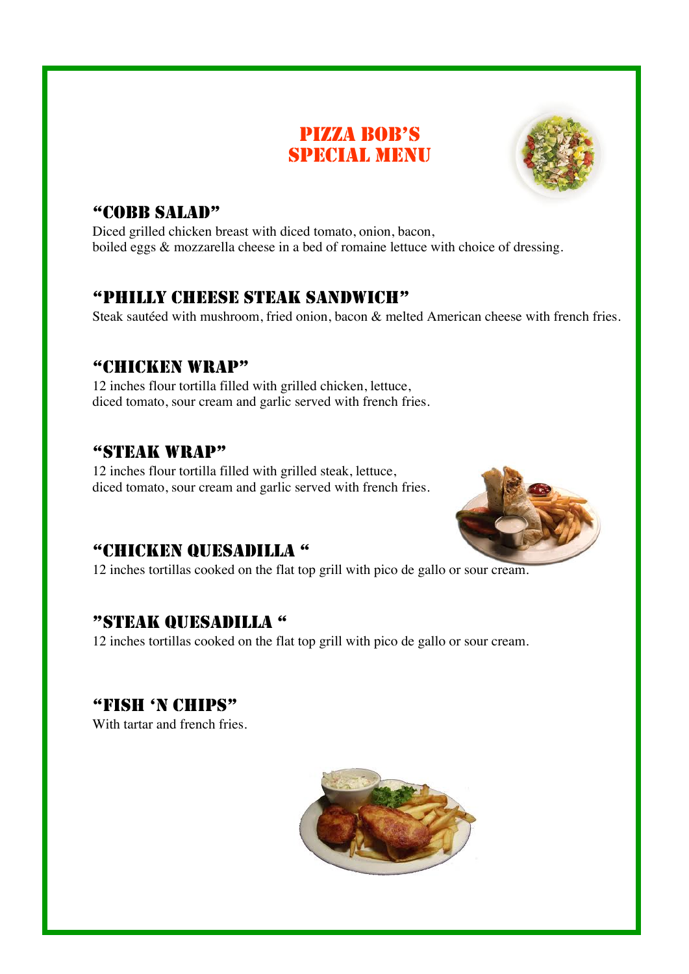# PIZZA BOB'S SPECIAL MENU



# "COBB SALAD"

Diced grilled chicken breast with diced tomato, onion, bacon, boiled eggs & mozzarella cheese in a bed of romaine lettuce with choice of dressing.

# "PHILLY CHEESE STEAK SANDWICH"

Steak sautéed with mushroom, fried onion, bacon & melted American cheese with french fries.

## "CHICKEN WRAP"

12 inches flour tortilla filled with grilled chicken, lettuce, diced tomato, sour cream and garlic served with french fries.

## "STEAK WRAP"

12 inches flour tortilla filled with grilled steak, lettuce, diced tomato, sour cream and garlic served with french fries.



# "CHICKEN QUESADILLA "

12 inches tortillas cooked on the flat top grill with pico de gallo or sour cream.

# "STEAK QUESADILLA "

12 inches tortillas cooked on the flat top grill with pico de gallo or sour cream.

# "FISH 'N CHIPS"

With tartar and french fries.

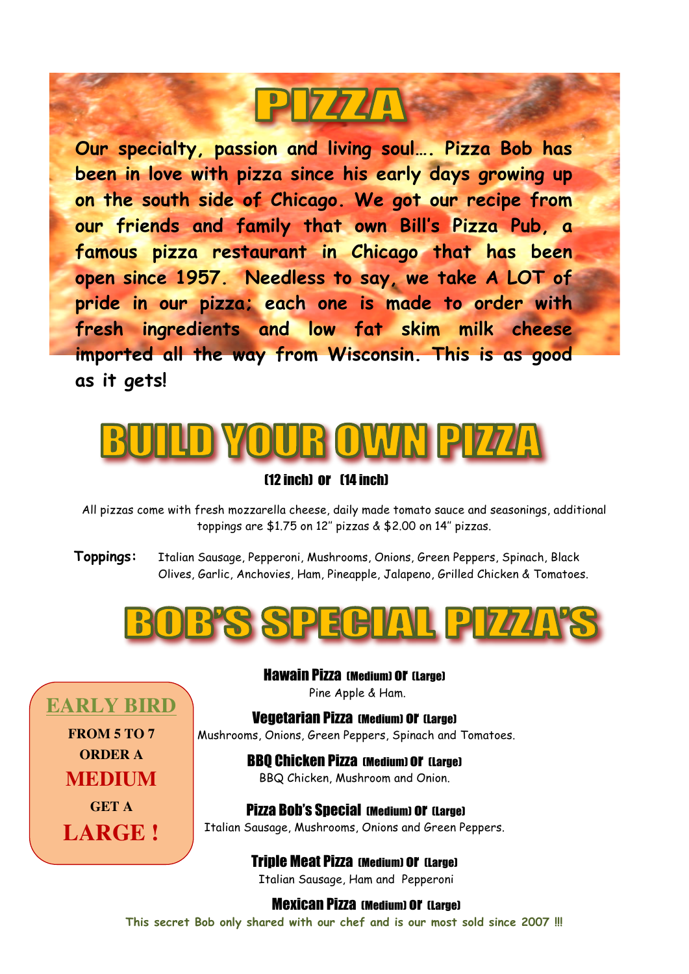# P7741

**Our specialty, passion and living soul…. Pizza Bob has been in love with pizza since his early days growing up on the south side of Chicago. We got our recipe from our friends and family that own Bill's Pizza Pub, a famous pizza restaurant in Chicago that has been open since 1957. Needless to say, we take A LOT of pride in our pizza; each one is made to order with fresh ingredients and low fat skim milk cheese imported all the way from Wisconsin. This is as good as it gets!**



## (12 inch) or (14 inch)

All pizzas come with fresh mozzarella cheese, daily made tomato sauce and seasonings, additional toppings are \$1.75 on 12'' pizzas & \$2.00 on 14'' pizzas.

**Toppings:** Italian Sausage, Pepperoni, Mushrooms, Onions, Green Peppers, Spinach, Black Olives, Garlic, Anchovies, Ham, Pineapple, Jalapeno, Grilled Chicken & Tomatoes.



Hawain Pizza (Medium) or (Large) Pine Apple & Ham.

Vegetarian Pizza (Medium) or (Large) Mushrooms, Onions, Green Peppers, Spinach and Tomatoes. **EARLY BIRD FROM 5 TO 7**

**ORDER A** 

**MEDIUM** 

**GET A** 

**LARGE !**

BBQ Chicken Pizza (Medium) or (Large) BBQ Chicken, Mushroom and Onion.

Pizza Bob's Special (Medium) or (Large) Italian Sausage, Mushrooms, Onions and Green Peppers.

> Triple Meat Pizza (Medium) or (Large) Italian Sausage, Ham and Pepperoni

> > Mexican Pizza (Medium) or (Large)

**This secret Bob only shared with our chef and is our most sold since 2007 !!!**